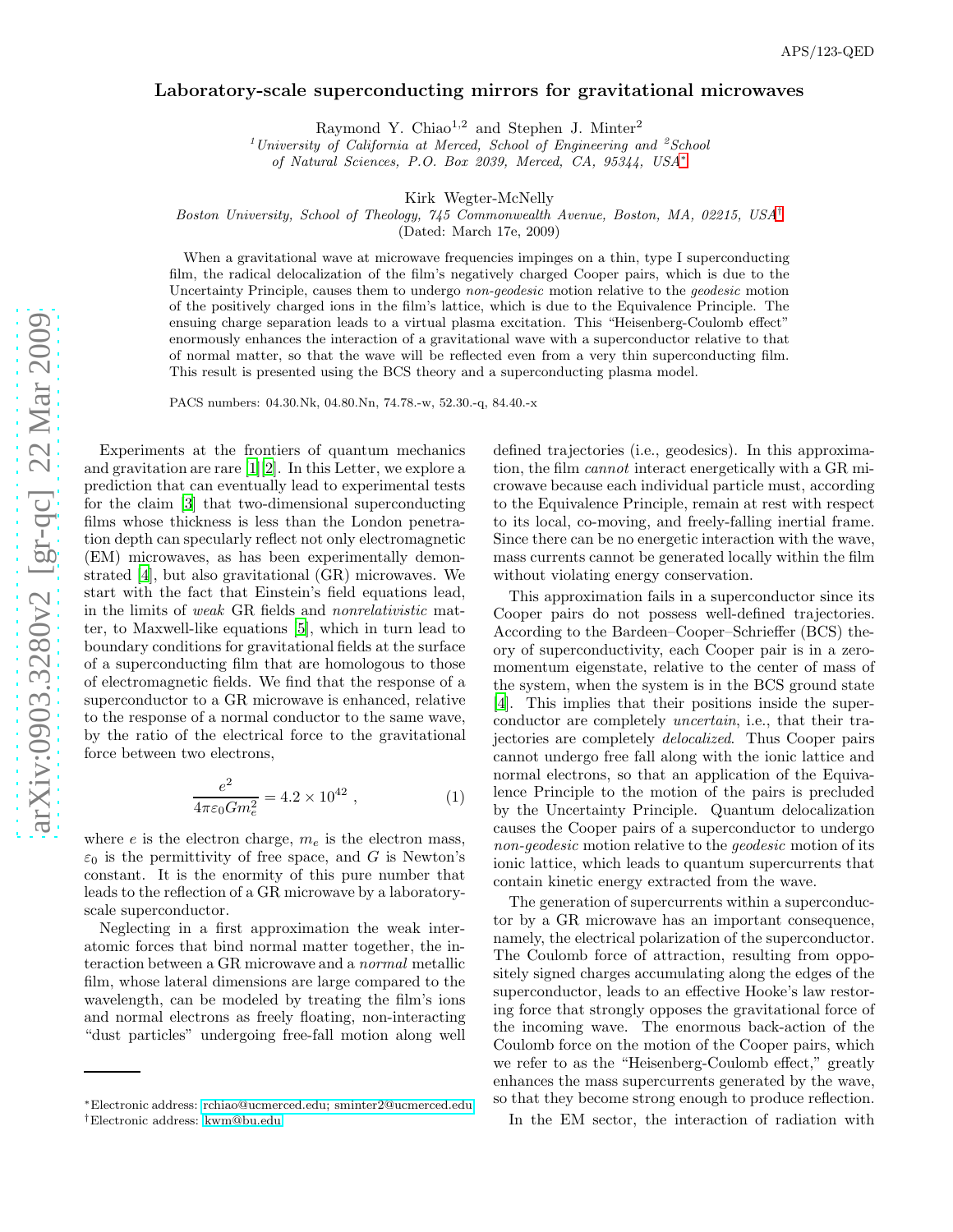## Laboratory-scale superconducting mirrors for gravitational microwaves

Raymond Y. Chiao<sup>1,2</sup> and Stephen J. Minter<sup>2</sup>

<sup>1</sup>University of California at Merced, School of Engineering and <sup>2</sup>School of Natural Sciences, P.O. Box 2039, Merced, CA, 95344, USA\*

Kirk Wegter-McNelly

Boston University, School of Theology, 745 Commonwealth Avenue, Boston, MA, 02215, USA [†](#page-0-1)

(Dated: March 17e, 2009)

When a gravitational wave at microwave frequencies impinges on a thin, type I superconducting film, the radical delocalization of the film's negatively charged Cooper pairs, which is due to the Uncertainty Principle, causes them to undergo non-geodesic motion relative to the geodesic motion of the positively charged ions in the film's lattice, which is due to the Equivalence Principle. The ensuing charge separation leads to a virtual plasma excitation. This "Heisenberg-Coulomb effect" enormously enhances the interaction of a gravitational wave with a superconductor relative to that of normal matter, so that the wave will be reflected even from a very thin superconducting film. This result is presented using the BCS theory and a superconducting plasma model.

PACS numbers: 04.30.Nk, 04.80.Nn, 74.78.-w, 52.30.-q, 84.40.-x

Experiments at the frontiers of quantum mechanics and gravitation are rare [\[1\]](#page-3-0)[\[2\]](#page-3-1). In this Letter, we explore a prediction that can eventually lead to experimental tests for the claim [\[3\]](#page-3-2) that two-dimensional superconducting films whose thickness is less than the London penetration depth can specularly reflect not only electromagnetic (EM) microwaves, as has been experimentally demonstrated [\[4\]](#page-3-3), but also gravitational (GR) microwaves. We start with the fact that Einstein's field equations lead, in the limits of weak GR fields and nonrelativistic matter, to Maxwell-like equations [\[5](#page-3-4)], which in turn lead to boundary conditions for gravitational fields at the surface of a superconducting film that are homologous to those of electromagnetic fields. We find that the response of a superconductor to a GR microwave is enhanced, relative to the response of a normal conductor to the same wave, by the ratio of the electrical force to the gravitational force between two electrons,

<span id="page-0-2"></span>
$$
\frac{e^2}{4\pi\varepsilon_0 G m_e^2} = 4.2 \times 10^{42} , \qquad (1)
$$

where  $e$  is the electron charge,  $m_e$  is the electron mass,  $\varepsilon_0$  is the permittivity of free space, and G is Newton's constant. It is the enormity of this pure number that leads to the reflection of a GR microwave by a laboratoryscale superconductor.

Neglecting in a first approximation the weak interatomic forces that bind normal matter together, the interaction between a GR microwave and a normal metallic film, whose lateral dimensions are large compared to the wavelength, can be modeled by treating the film's ions and normal electrons as freely floating, non-interacting "dust particles" undergoing free-fall motion along well

defined trajectories (i.e., geodesics). In this approximation, the film cannot interact energetically with a GR microwave because each individual particle must, according to the Equivalence Principle, remain at rest with respect to its local, co-moving, and freely-falling inertial frame. Since there can be no energetic interaction with the wave, mass currents cannot be generated locally within the film without violating energy conservation.

This approximation fails in a superconductor since its Cooper pairs do not possess well-defined trajectories. According to the Bardeen–Cooper–Schrieffer (BCS) theory of superconductivity, each Cooper pair is in a zeromomentum eigenstate, relative to the center of mass of the system, when the system is in the BCS ground state [\[4\]](#page-3-3). This implies that their positions inside the superconductor are completely uncertain, i.e., that their trajectories are completely delocalized. Thus Cooper pairs cannot undergo free fall along with the ionic lattice and normal electrons, so that an application of the Equivalence Principle to the motion of the pairs is precluded by the Uncertainty Principle. Quantum delocalization causes the Cooper pairs of a superconductor to undergo non-geodesic motion relative to the *geodesic* motion of its ionic lattice, which leads to quantum supercurrents that contain kinetic energy extracted from the wave.

The generation of supercurrents within a superconductor by a GR microwave has an important consequence, namely, the electrical polarization of the superconductor. The Coulomb force of attraction, resulting from oppositely signed charges accumulating along the edges of the superconductor, leads to an effective Hooke's law restoring force that strongly opposes the gravitational force of the incoming wave. The enormous back-action of the Coulomb force on the motion of the Cooper pairs, which we refer to as the "Heisenberg-Coulomb effect," greatly enhances the mass supercurrents generated by the wave, so that they become strong enough to produce reflection.

In the EM sector, the interaction of radiation with

<span id="page-0-1"></span><span id="page-0-0"></span><sup>∗</sup>Electronic address: [rchiao@ucmerced.edu; sminter2@ucmerced.edu](mailto:rchiao@ucmerced.edu; sminter2@ucmerced.edu) †Electronic address: [kwm@bu.edu](mailto:kwm@bu.edu)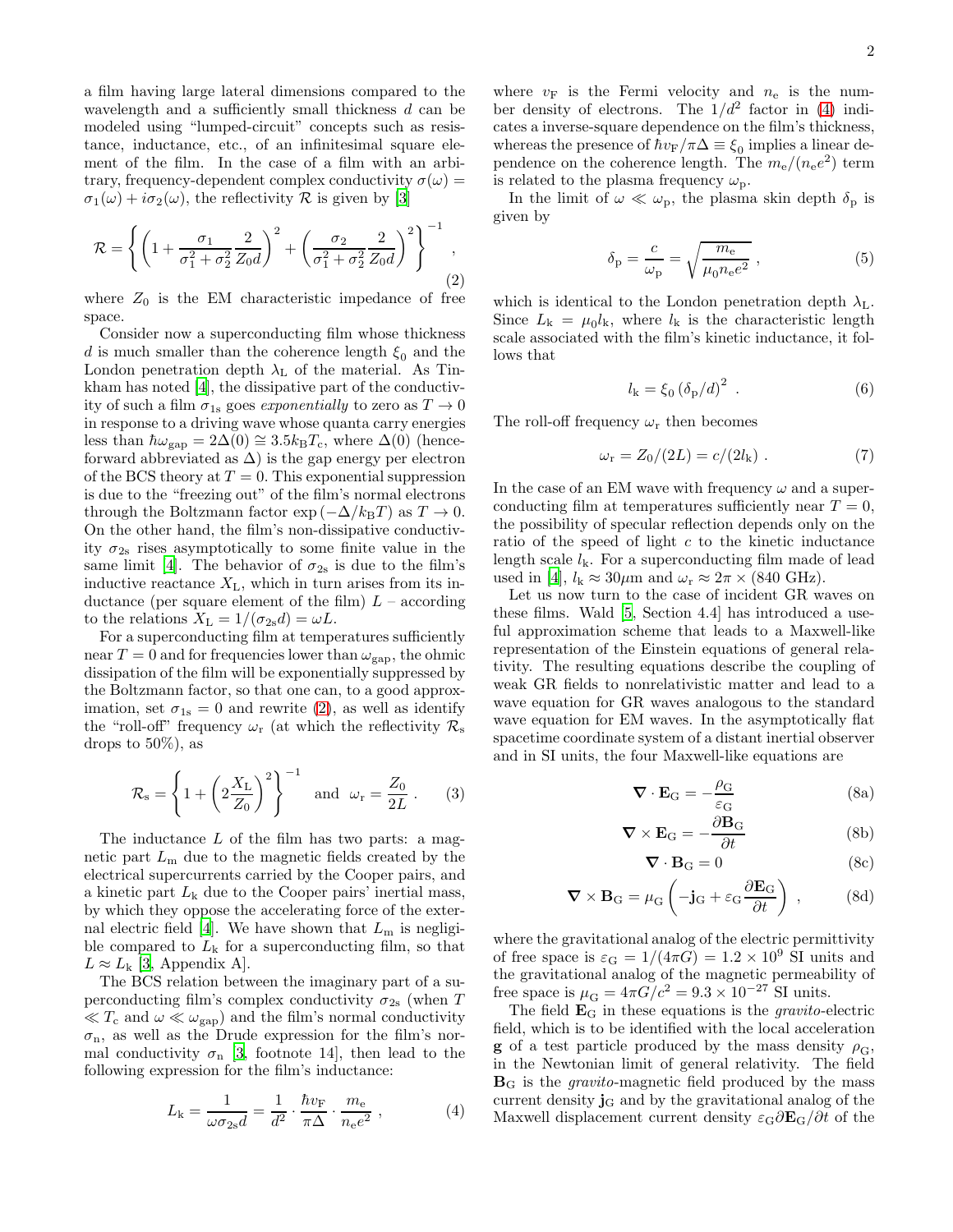a film having large lateral dimensions compared to the wavelength and a sufficiently small thickness  $d$  can be modeled using "lumped-circuit" concepts such as resistance, inductance, etc., of an infinitesimal square element of the film. In the case of a film with an arbitrary, frequency-dependent complex conductivity  $\sigma(\omega)$  =  $\sigma_1(\omega) + i\sigma_2(\omega)$ , the reflectivity R is given by [\[3](#page-3-2)]

<span id="page-1-0"></span>
$$
\mathcal{R} = \left\{ \left( 1 + \frac{\sigma_1}{\sigma_1^2 + \sigma_2^2} \frac{2}{Z_0 d} \right)^2 + \left( \frac{\sigma_2}{\sigma_1^2 + \sigma_2^2} \frac{2}{Z_0 d} \right)^2 \right\}^{-1},\tag{2}
$$

where  $Z_0$  is the EM characteristic impedance of free space.

Consider now a superconducting film whose thickness d is much smaller than the coherence length  $\xi_0$  and the London penetration depth  $\lambda_L$  of the material. As Tinkham has noted [\[4\]](#page-3-3), the dissipative part of the conductivity of such a film  $\sigma_{1s}$  goes exponentially to zero as  $T \to 0$ in response to a driving wave whose quanta carry energies less than  $\hbar \omega_{\rm gap} = 2\Delta(0) \approx 3.5 k_BT_c$ , where  $\Delta(0)$  (henceforward abbreviated as  $\Delta$ ) is the gap energy per electron of the BCS theory at  $T = 0$ . This exponential suppression is due to the "freezing out" of the film's normal electrons through the Boltzmann factor  $\exp(-\Delta/k_BT)$  as  $T \to 0$ . On the other hand, the film's non-dissipative conductivity  $\sigma_{2s}$  rises asymptotically to some finite value in the same limit [\[4\]](#page-3-3). The behavior of  $\sigma_{2s}$  is due to the film's inductive reactance  $X_L$ , which in turn arises from its inductance (per square element of the film)  $L$  – according to the relations  $X_{\text{L}} = 1/(\sigma_{2s}d) = \omega L$ .

For a superconducting film at temperatures sufficiently near  $T = 0$  and for frequencies lower than  $\omega_{\rm gap}$ , the ohmic dissipation of the film will be exponentially suppressed by the Boltzmann factor, so that one can, to a good approximation, set  $\sigma_{1s} = 0$  and rewrite [\(2\)](#page-1-0), as well as identify the "roll-off" frequency  $\omega_r$  (at which the reflectivity  $\mathcal{R}_s$ drops to 50%), as

<span id="page-1-4"></span>
$$
\mathcal{R}_{\rm s} = \left\{ 1 + \left( 2 \frac{X_{\rm L}}{Z_0} \right)^2 \right\}^{-1} \quad \text{and} \quad \omega_{\rm r} = \frac{Z_0}{2L} \ . \tag{3}
$$

The inductance  $L$  of the film has two parts: a magnetic part  $L<sub>m</sub>$  due to the magnetic fields created by the electrical supercurrents carried by the Cooper pairs, and a kinetic part  $L_k$  due to the Cooper pairs' inertial mass, by which they oppose the accelerating force of the exter-nal electric field [\[4](#page-3-3)]. We have shown that  $L<sub>m</sub>$  is negligible compared to  $L_k$  for a superconducting film, so that  $L \approx L_{\rm k}$  [\[3,](#page-3-2) Appendix A].

The BCS relation between the imaginary part of a superconducting film's complex conductivity  $\sigma_{2s}$  (when T  $\ll T_c$  and  $\omega \ll \omega_{\rm gap}$ ) and the film's normal conductivity  $\sigma_{\rm n}$ , as well as the Drude expression for the film's normal conductivity  $\sigma_{\rm n}$  [\[3,](#page-3-2) footnote 14], then lead to the following expression for the film's inductance:

<span id="page-1-1"></span>
$$
L_{\mathbf{k}} = \frac{1}{\omega \sigma_{2\mathbf{s}} d} = \frac{1}{d^2} \cdot \frac{\hbar v_{\mathbf{F}}}{\pi \Delta} \cdot \frac{m_{\mathbf{e}}}{n_{\mathbf{e}} e^2} , \qquad (4)
$$

where  $v_F$  is the Fermi velocity and  $n_e$  is the number density of electrons. The  $1/d^2$  factor in [\(4\)](#page-1-1) indicates a inverse-square dependence on the film's thickness, whereas the presence of  $\hbar v_{\rm F}/\pi\Delta \equiv \xi_0$  implies a linear dependence on the coherence length. The  $m_e/(n_e e^2)$  term is related to the plasma frequency  $\omega_{\rm p}$ .

In the limit of  $\omega \ll \omega_{\rm p}$ , the plasma skin depth  $\delta_{\rm p}$  is given by

<span id="page-1-5"></span>
$$
\delta_{\rm p} = \frac{c}{\omega_{\rm p}} = \sqrt{\frac{m_{\rm e}}{\mu_0 n_{\rm e} e^2}} \,,\tag{5}
$$

which is identical to the London penetration depth  $\lambda_{\text{L}}$ . Since  $L_{k} = \mu_{0} l_{k}$ , where  $l_{k}$  is the characteristic length scale associated with the film's kinetic inductance, it follows that

<span id="page-1-6"></span>
$$
l_{\mathbf{k}} = \xi_0 \left(\delta_{\mathbf{p}}/d\right)^2 \tag{6}
$$

The roll-off frequency  $\omega_r$  then becomes

$$
\omega_{\rm r} = Z_0/(2L) = c/(2l_{\rm k}) \ . \tag{7}
$$

In the case of an EM wave with frequency  $\omega$  and a superconducting film at temperatures sufficiently near  $T = 0$ , the possibility of specular reflection depends only on the ratio of the speed of light  $c$  to the kinetic inductance length scale  $l_k$ . For a superconducting film made of lead used in [\[4](#page-3-3)],  $l_k \approx 30 \mu m$  and  $\omega_r \approx 2\pi \times (840 \text{ GHz}).$ 

Let us now turn to the case of incident GR waves on these films. Wald [\[5](#page-3-4), Section 4.4] has introduced a useful approximation scheme that leads to a Maxwell-like representation of the Einstein equations of general relativity. The resulting equations describe the coupling of weak GR fields to nonrelativistic matter and lead to a wave equation for GR waves analogous to the standard wave equation for EM waves. In the asymptotically flat spacetime coordinate system of a distant inertial observer and in SI units, the four Maxwell-like equations are

<span id="page-1-3"></span>
$$
\nabla \cdot \mathbf{E}_{\mathbf{G}} = -\frac{\rho_{\mathbf{G}}}{\varepsilon_{\mathbf{G}}} \tag{8a}
$$

$$
\nabla \times \mathbf{E}_{\mathbf{G}} = -\frac{\partial \mathbf{B}_{\mathbf{G}}}{\partial t}
$$
 (8b)

<span id="page-1-2"></span>
$$
\nabla \cdot \mathbf{B}_{\mathbf{G}} = 0 \tag{8c}
$$

$$
\nabla \times \mathbf{B}_{\mathbf{G}} = \mu_{\mathbf{G}} \left( -\mathbf{j}_{\mathbf{G}} + \varepsilon_{\mathbf{G}} \frac{\partial \mathbf{E}_{\mathbf{G}}}{\partial t} \right) , \qquad (8d)
$$

where the gravitational analog of the electric permittivity of free space is  $\varepsilon_G = 1/(4\pi G) = 1.2 \times 10^9$  SI units and the gravitational analog of the magnetic permeability of free space is  $\mu_G = 4\pi G/c^2 = 9.3 \times 10^{-27}$  SI units.

The field  $\mathbf{E}_{\text{G}}$  in these equations is the *gravito*-electric field, which is to be identified with the local acceleration **g** of a test particle produced by the mass density  $\rho_{\rm G}$ , in the Newtonian limit of general relativity. The field  $B<sub>G</sub>$  is the *gravito*-magnetic field produced by the mass current density  $\mathbf{j}_{\mathbf{G}}$  and by the gravitational analog of the Maxwell displacement current density  $\varepsilon_{\rm G}\partial\mathbf{E}_{\rm G}/\partial t$  of the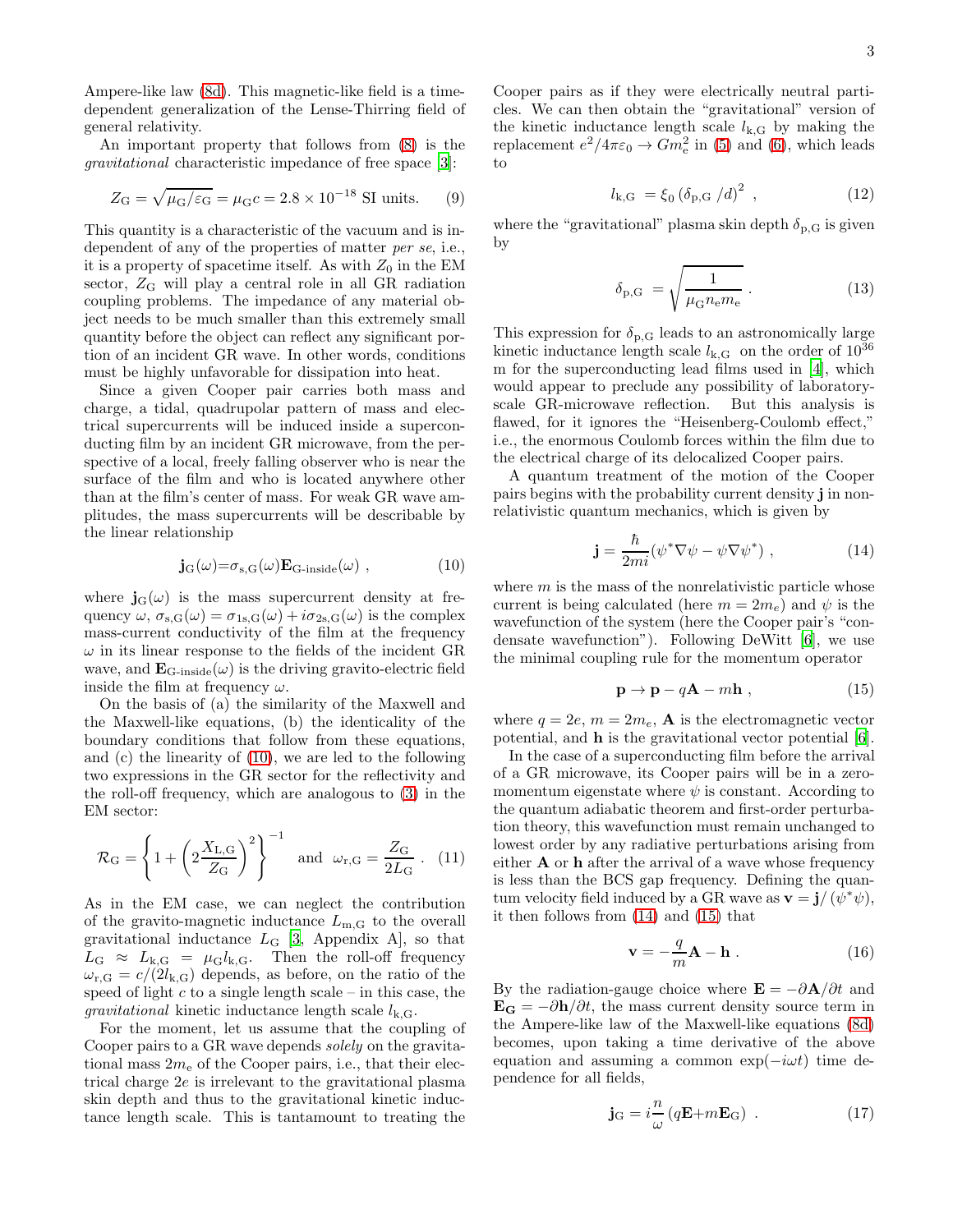Ampere-like law [\(8d\)](#page-1-2). This magnetic-like field is a timedependent generalization of the Lense-Thirring field of general relativity.

An important property that follows from [\(8\)](#page-1-3) is the gravitational characteristic impedance of free space [\[3](#page-3-2)]:

$$
Z_{\rm G} = \sqrt{\mu_{\rm G}/\varepsilon_{\rm G}} = \mu_{\rm G} c = 2.8 \times 10^{-18} \text{ SI units.}
$$
 (9)

This quantity is a characteristic of the vacuum and is independent of any of the properties of matter per se, i.e., it is a property of spacetime itself. As with  $Z_0$  in the EM sector,  $Z_G$  will play a central role in all GR radiation coupling problems. The impedance of any material object needs to be much smaller than this extremely small quantity before the object can reflect any significant portion of an incident GR wave. In other words, conditions must be highly unfavorable for dissipation into heat.

Since a given Cooper pair carries both mass and charge, a tidal, quadrupolar pattern of mass and electrical supercurrents will be induced inside a superconducting film by an incident GR microwave, from the perspective of a local, freely falling observer who is near the surface of the film and who is located anywhere other than at the film's center of mass. For weak GR wave amplitudes, the mass supercurrents will be describable by the linear relationship

<span id="page-2-0"></span>
$$
\mathbf{j}_{\mathrm{G}}(\omega) = \sigma_{\mathrm{s,G}}(\omega) \mathbf{E}_{\mathrm{G-inside}}(\omega) , \qquad (10)
$$

where  $\mathbf{j}_{\mathbf{G}}(\omega)$  is the mass supercurrent density at frequency  $\omega$ ,  $\sigma_{s,G}(\omega) = \sigma_{1s,G}(\omega) + i\sigma_{2s,G}(\omega)$  is the complex mass-current conductivity of the film at the frequency  $\omega$  in its linear response to the fields of the incident GR wave, and  $\mathbf{E}_{\text{G-inside}}(\omega)$  is the driving gravito-electric field inside the film at frequency  $\omega$ .

On the basis of (a) the similarity of the Maxwell and the Maxwell-like equations, (b) the identicality of the boundary conditions that follow from these equations, and (c) the linearity of [\(10\)](#page-2-0), we are led to the following two expressions in the GR sector for the reflectivity and the roll-off frequency, which are analogous to [\(3\)](#page-1-4) in the EM sector:

$$
\mathcal{R}_{\rm G} = \left\{ 1 + \left( 2 \frac{X_{\rm L,G}}{Z_{\rm G}} \right)^2 \right\}^{-1} \quad \text{and} \quad \omega_{\rm r,G} = \frac{Z_{\rm G}}{2L_{\rm G}} \ . \tag{11}
$$

As in the EM case, we can neglect the contribution of the gravito-magnetic inductance  $L_{\text{m,G}}$  to the overall gravitational inductance  $L_G$  [\[3,](#page-3-2) Appendix A], so that  $L_G \approx L_{k,G} = \mu_G l_{k,G}$ . Then the roll-off frequency  $\omega_{\rm r,G} = c/(2l_{\rm k,G})$  depends, as before, on the ratio of the speed of light  $c$  to a single length scale – in this case, the *gravitational* kinetic inductance length scale  $l_{k,G}$ .

For the moment, let us assume that the coupling of Cooper pairs to a GR wave depends *solely* on the gravitational mass  $2m<sub>e</sub>$  of the Cooper pairs, i.e., that their electrical charge 2e is irrelevant to the gravitational plasma skin depth and thus to the gravitational kinetic inductance length scale. This is tantamount to treating the

Cooper pairs as if they were electrically neutral particles. We can then obtain the "gravitational" version of the kinetic inductance length scale  $l_{k,G}$  by making the replacement  $e^2/4\pi\varepsilon_0 \to Gm_e^2$  in [\(5\)](#page-1-5) and [\(6\)](#page-1-6), which leads to

<span id="page-2-5"></span>
$$
l_{k,G} = \xi_0 \left( \delta_{p,G} / d \right)^2 , \qquad (12)
$$

where the "gravitational" plasma skin depth  $\delta_{p,G}$  is given by

<span id="page-2-6"></span>
$$
\delta_{\rm p,G} = \sqrt{\frac{1}{\mu_{\rm G} n_{\rm e} m_{\rm e}}} \,. \tag{13}
$$

This expression for  $\delta_{p,G}$  leads to an astronomically large kinetic inductance length scale  $l_{k,G}$  on the order of  $10^{36}$ m for the superconducting lead films used in [\[4](#page-3-3)], which would appear to preclude any possibility of laboratoryscale GR-microwave reflection. But this analysis is flawed, for it ignores the "Heisenberg-Coulomb effect," i.e., the enormous Coulomb forces within the film due to the electrical charge of its delocalized Cooper pairs.

A quantum treatment of the motion of the Cooper pairs begins with the probability current density j in nonrelativistic quantum mechanics, which is given by

<span id="page-2-1"></span>
$$
\mathbf{j} = \frac{\hbar}{2mi} (\psi^* \nabla \psi - \psi \nabla \psi^*) , \qquad (14)
$$

where  $m$  is the mass of the nonrelativistic particle whose current is being calculated (here  $m = 2m_e$ ) and  $\psi$  is the wavefunction of the system (here the Cooper pair's "condensate wavefunction"). Following DeWitt [\[6\]](#page-3-5), we use the minimal coupling rule for the momentum operator

<span id="page-2-2"></span>
$$
\mathbf{p} \to \mathbf{p} - q\mathbf{A} - m\mathbf{h} \,, \tag{15}
$$

where  $q = 2e$ ,  $m = 2m_e$ , **A** is the electromagnetic vector potential, and h is the gravitational vector potential [\[6\]](#page-3-5).

In the case of a superconducting film before the arrival of a GR microwave, its Cooper pairs will be in a zeromomentum eigenstate where  $\psi$  is constant. According to the quantum adiabatic theorem and first-order perturbation theory, this wavefunction must remain unchanged to lowest order by any radiative perturbations arising from either A or h after the arrival of a wave whose frequency is less than the BCS gap frequency. Defining the quantum velocity field induced by a GR wave as  $\mathbf{v} = \mathbf{j}/(\psi^* \psi)$ , it then follows from [\(14\)](#page-2-1) and [\(15\)](#page-2-2) that

<span id="page-2-4"></span>
$$
\mathbf{v} = -\frac{q}{m}\mathbf{A} - \mathbf{h} \tag{16}
$$

By the radiation-gauge choice where  $\mathbf{E} = -\partial \mathbf{A}/\partial t$  and  $\mathbf{E_G} = -\partial \mathbf{h}/\partial t$ , the mass current density source term in the Ampere-like law of the Maxwell-like equations [\(8d\)](#page-1-2) becomes, upon taking a time derivative of the above equation and assuming a common  $exp(-i\omega t)$  time dependence for all fields,

<span id="page-2-3"></span>
$$
\mathbf{j}_{\mathrm{G}} = i\frac{n}{\omega} \left( q\mathbf{E} + m\mathbf{E}_{\mathrm{G}} \right) . \tag{17}
$$